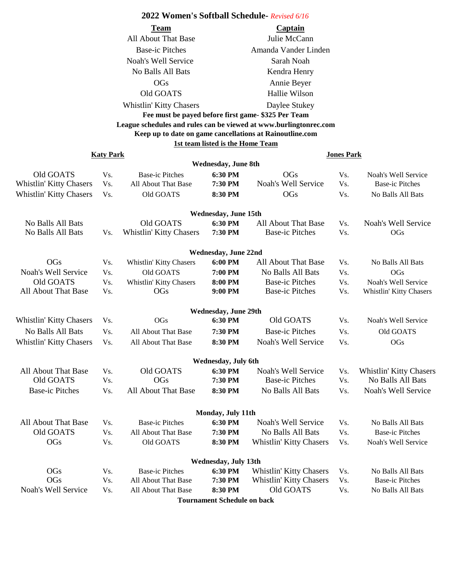## **2022 Women's Softball Schedule-** *Revised 6/16*

| Team                                                              | Captain              |  |  |  |  |
|-------------------------------------------------------------------|----------------------|--|--|--|--|
| All About That Base                                               | Julie McCann         |  |  |  |  |
| <b>Base-ic Pitches</b>                                            | Amanda Vander Linden |  |  |  |  |
| Noah's Well Service                                               | Sarah Noah           |  |  |  |  |
| No Balls All Bats                                                 | Kendra Henry         |  |  |  |  |
| OGs                                                               | Annie Beyer          |  |  |  |  |
| Old GOATS                                                         | Hallie Wilson        |  |  |  |  |
| Whistlin' Kitty Chasers                                           | Daylee Stukey        |  |  |  |  |
| Fee must be payed before first game-\$325 Per Team                |                      |  |  |  |  |
| League schedules and rules can be viewed at www.burlingtonrec.com |                      |  |  |  |  |
| Keep up to date on game cancellations at Rainoutline.com          |                      |  |  |  |  |
| 1st team listed is the Home Team                                  |                      |  |  |  |  |

|                                | <b>Katy Park</b> |                         |                                    |                                | <b>Jones Park</b> |                         |  |
|--------------------------------|------------------|-------------------------|------------------------------------|--------------------------------|-------------------|-------------------------|--|
|                                |                  |                         | <b>Wednesday, June 8th</b>         |                                |                   |                         |  |
| Old GOATS                      | Vs.              | <b>Base-ic Pitches</b>  | 6:30 PM                            | <b>OGs</b>                     | Vs.               | Noah's Well Service     |  |
| Whistlin' Kitty Chasers        | Vs.              | All About That Base     | 7:30 PM                            | Noah's Well Service            | Vs.               | <b>Base-ic Pitches</b>  |  |
| <b>Whistlin' Kitty Chasers</b> | Vs.              | Old GOATS               | 8:30 PM                            | <b>OGs</b>                     | Vs.               | No Balls All Bats       |  |
|                                |                  |                         | <b>Wednesday, June 15th</b>        |                                |                   |                         |  |
| No Balls All Bats              |                  | Old GOATS               | 6:30 PM                            | All About That Base            | Vs.               | Noah's Well Service     |  |
| No Balls All Bats              | Vs.              | Whistlin' Kitty Chasers | 7:30 PM                            | <b>Base-ic Pitches</b>         | Vs.               | <b>OGs</b>              |  |
|                                |                  |                         | <b>Wednesday, June 22nd</b>        |                                |                   |                         |  |
| <b>OGs</b>                     | Vs.              | Whistlin' Kitty Chasers | 6:00 PM                            | All About That Base            | Vs.               | No Balls All Bats       |  |
| Noah's Well Service            | Vs.              | Old GOATS               | 7:00 PM                            | No Balls All Bats              | Vs.               | OGs                     |  |
| Old GOATS                      | Vs.              | Whistlin' Kitty Chasers | 8:00 PM                            | <b>Base-ic Pitches</b>         | Vs.               | Noah's Well Service     |  |
| All About That Base            | Vs.              | <b>OGs</b>              | 9:00 PM                            | <b>Base-ic Pitches</b>         | Vs.               | Whistlin' Kitty Chasers |  |
|                                |                  |                         | <b>Wednesday, June 29th</b>        |                                |                   |                         |  |
| Whistlin' Kitty Chasers        | Vs.              | OGs                     | 6:30 PM                            | Old GOATS                      | Vs.               | Noah's Well Service     |  |
| No Balls All Bats              | Vs.              | All About That Base     | 7:30 PM                            | <b>Base-ic Pitches</b>         | Vs.               | Old GOATS               |  |
| <b>Whistlin' Kitty Chasers</b> | Vs.              | All About That Base     | 8:30 PM                            | Noah's Well Service            | Vs.               | <b>OGs</b>              |  |
|                                |                  |                         | Wednesday, July 6th                |                                |                   |                         |  |
| All About That Base            | Vs.              | Old GOATS               | 6:30 PM                            | Noah's Well Service            | Vs.               | Whistlin' Kitty Chasers |  |
| Old GOATS                      | Vs.              | <b>OGs</b>              | 7:30 PM                            | <b>Base-ic Pitches</b>         | Vs.               | No Balls All Bats       |  |
| <b>Base-ic Pitches</b>         | Vs.              | All About That Base     | 8:30 PM                            | No Balls All Bats              | Vs.               | Noah's Well Service     |  |
|                                |                  |                         | Monday, July 11th                  |                                |                   |                         |  |
| All About That Base            | Vs.              | <b>Base-ic Pitches</b>  | 6:30 PM                            | Noah's Well Service            | Vs.               | No Balls All Bats       |  |
| Old GOATS                      | Vs.              | All About That Base     | 7:30 PM                            | No Balls All Bats              | Vs.               | <b>Base-ic Pitches</b>  |  |
| OGs                            | Vs.              | Old GOATS               | 8:30 PM                            | <b>Whistlin' Kitty Chasers</b> | Vs.               | Noah's Well Service     |  |
|                                |                  |                         | Wednesday, July 13th               |                                |                   |                         |  |
| OGs                            | Vs.              | <b>Base-ic Pitches</b>  | 6:30 PM                            | <b>Whistlin' Kitty Chasers</b> | Vs.               | No Balls All Bats       |  |
| <b>OGs</b>                     | Vs.              | All About That Base     | 7:30 PM                            | Whistlin' Kitty Chasers        | Vs.               | <b>Base-ic Pitches</b>  |  |
| Noah's Well Service            | Vs.              | All About That Base     | 8:30 PM                            | Old GOATS                      | Vs.               | No Balls All Bats       |  |
|                                |                  |                         | <b>Tournament Schedule on back</b> |                                |                   |                         |  |